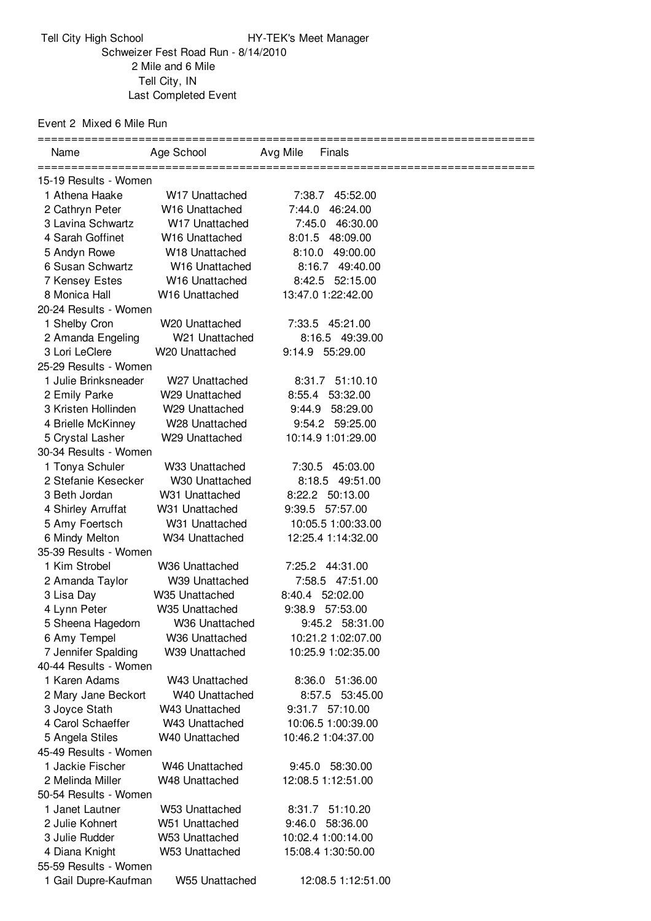## Event 2 Mixed 6 Mile Run

| Name                                    | Age School                       | Avg Mile<br>Finals                    |  |  |  |
|-----------------------------------------|----------------------------------|---------------------------------------|--|--|--|
| 15-19 Results - Women                   |                                  |                                       |  |  |  |
| 1 Athena Haake                          | W <sub>17</sub> Unattached       | 7:38.7 45:52.00                       |  |  |  |
| 2 Cathryn Peter                         | W16 Unattached                   | 46:24.00<br>7:44.0                    |  |  |  |
| 3 Lavina Schwartz                       | W17 Unattached                   | 7:45.0 46:30.00                       |  |  |  |
| 4 Sarah Goffinet                        | W <sub>16</sub> Unattached       | 8:01.5 48:09.00                       |  |  |  |
| 5 Andyn Rowe                            | W18 Unattached                   | 8:10.0<br>49:00.00                    |  |  |  |
| 6 Susan Schwartz                        | W16 Unattached                   | 8:16.7 49:40.00                       |  |  |  |
| 7 Kensey Estes                          | W16 Unattached                   | 8:42.5 52:15.00                       |  |  |  |
| 8 Monica Hall                           | W16 Unattached                   | 13:47.0 1:22:42.00                    |  |  |  |
| 20-24 Results - Women                   |                                  |                                       |  |  |  |
| 1 Shelby Cron                           | W <sub>20</sub> Unattached       | 7:33.5 45:21.00                       |  |  |  |
| 2 Amanda Engeling                       | W21 Unattached                   | 8:16.5 49:39.00                       |  |  |  |
| 3 Lori LeClere                          | W20 Unattached                   | 9:14.9 55:29.00                       |  |  |  |
| 25-29 Results - Women                   |                                  |                                       |  |  |  |
| 1 Julie Brinksneader                    | W <sub>27</sub> Unattached       | 8:31.7 51:10.10                       |  |  |  |
| 2 Emily Parke                           | W29 Unattached                   | 8:55.4 53:32.00                       |  |  |  |
| 3 Kristen Hollinden                     | W29 Unattached                   |                                       |  |  |  |
| 4 Brielle McKinney                      | W28 Unattached                   | 9:44.9<br>58:29.00<br>9:54.2 59:25.00 |  |  |  |
|                                         |                                  |                                       |  |  |  |
| 5 Crystal Lasher                        | W29 Unattached                   | 10:14.9 1:01:29.00                    |  |  |  |
| 30-34 Results - Women                   |                                  |                                       |  |  |  |
| 1 Tonya Schuler<br>2 Stefanie Kesecker  | W33 Unattached                   | 7:30.5 45:03.00                       |  |  |  |
| 3 Beth Jordan                           | W30 Unattached                   | 8:18.5 49:51.00                       |  |  |  |
|                                         | W31 Unattached                   | 8:22.2 50:13.00                       |  |  |  |
| 4 Shirley Arruffat                      | W31 Unattached<br>W31 Unattached | 9:39.5 57:57.00                       |  |  |  |
| 5 Amy Foertsch                          |                                  | 10:05.5 1:00:33.00                    |  |  |  |
| 6 Mindy Melton<br>35-39 Results - Women | W34 Unattached                   | 12:25.4 1:14:32.00                    |  |  |  |
| 1 Kim Strobel                           |                                  |                                       |  |  |  |
|                                         | W <sub>36</sub> Unattached       | 7:25.2 44:31.00                       |  |  |  |
| 2 Amanda Taylor                         | W39 Unattached                   | 7:58.5 47:51.00                       |  |  |  |
| 3 Lisa Day                              | W35 Unattached                   | 8:40.4 52:02.00                       |  |  |  |
| 4 Lynn Peter                            | W35 Unattached                   | 9:38.9 57:53.00                       |  |  |  |
| 5 Sheena Hagedorn                       | W36 Unattached                   | 9:45.2 58:31.00                       |  |  |  |
| 6 Amy Tempel                            | W36 Unattached                   | 10:21.2 1:02:07.00                    |  |  |  |
| 7 Jennifer Spalding                     | W39 Unattached                   | 10:25.9 1:02:35.00                    |  |  |  |
| 40-44 Results - Women<br>1 Karen Adams  |                                  |                                       |  |  |  |
|                                         | W43 Unattached                   | 8:36.0 51:36.00                       |  |  |  |
| 2 Mary Jane Beckort                     | W40 Unattached                   | 8:57.5 53:45.00                       |  |  |  |
| 3 Joyce Stath                           | W43 Unattached                   | 9:31.7 57:10.00                       |  |  |  |
| 4 Carol Schaeffer                       | W43 Unattached                   | 10:06.5 1:00:39.00                    |  |  |  |
| 5 Angela Stiles                         | W40 Unattached                   | 10:46.2 1:04:37.00                    |  |  |  |
| 45-49 Results - Women                   |                                  |                                       |  |  |  |
| 1 Jackie Fischer                        | W46 Unattached                   | 9:45.0 58:30.00                       |  |  |  |
| 2 Melinda Miller                        | W48 Unattached                   | 12:08.5 1:12:51.00                    |  |  |  |
| 50-54 Results - Women                   |                                  |                                       |  |  |  |
| 1 Janet Lautner                         | W53 Unattached                   | 8:31.7 51:10.20                       |  |  |  |
| 2 Julie Kohnert                         | W51 Unattached                   | 9:46.0 58:36.00                       |  |  |  |
| 3 Julie Rudder                          | W53 Unattached                   | 10:02.4 1:00:14.00                    |  |  |  |
| 4 Diana Knight                          | W53 Unattached                   | 15:08.4 1:30:50.00                    |  |  |  |
| 55-59 Results - Women                   |                                  |                                       |  |  |  |
| 1 Gail Dupre-Kaufman                    | W55 Unattached                   | 12:08.5 1:12:51.00                    |  |  |  |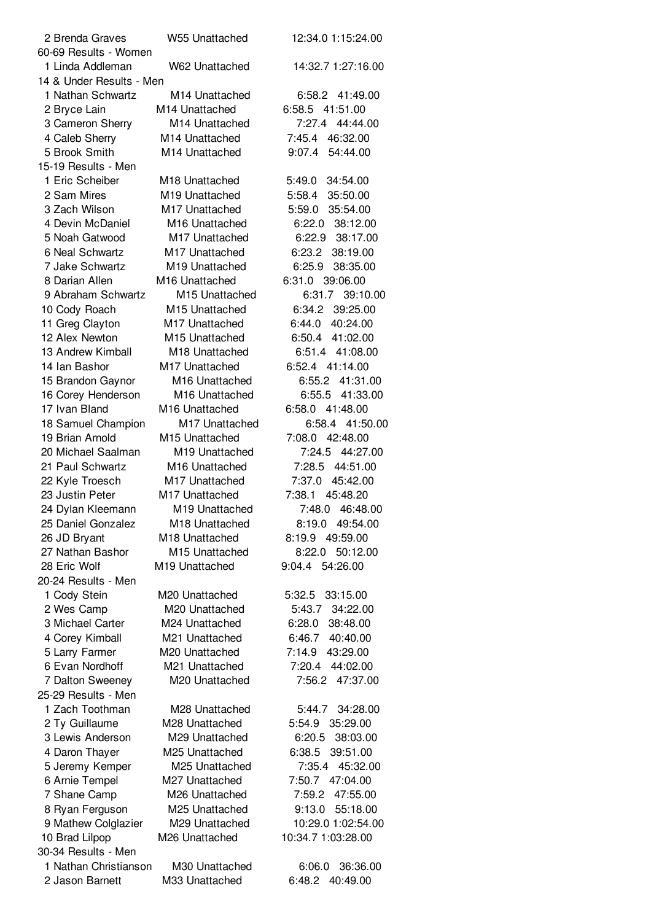| 2 Brenda Graves                   | W55 Unattached             | 12:34.0 1:15:24.00 |
|-----------------------------------|----------------------------|--------------------|
| 60-69 Results - Women             |                            |                    |
| 1 Linda Addleman                  | W62 Unattached             | 14:32.7 1:27:16.00 |
| 14 & Under Results - Men          |                            |                    |
| 1 Nathan Schwartz                 | M <sub>14</sub> Unattached | 6:58.2 41:49.00    |
| 2 Bryce Lain                      | M14 Unattached             | 6:58.5 41:51.00    |
| 3 Cameron Sherry                  | M14 Unattached             | 7:27.4 44:44.00    |
| 4 Caleb Sherry                    | M14 Unattached             | 7:45.4 46:32.00    |
| 5 Brook Smith                     | M14 Unattached             | 9:07.4 54:44.00    |
| 15-19 Results - Men               |                            |                    |
| 1 Eric Scheiber                   | M18 Unattached             | 5:49.0 34:54.00    |
| 2 Sam Mires                       | M19 Unattached             | 5:58.4 35:50.00    |
| 3 Zach Wilson                     | M17 Unattached             | 5:59.0 35:54.00    |
| 4 Devin McDaniel                  | M <sub>16</sub> Unattached | 6:22.0 38:12.00    |
| 5 Noah Gatwood                    | M17 Unattached             | 6:22.9 38:17.00    |
| 6 Neal Schwartz                   | M17 Unattached             | 6:23.2 38:19.00    |
| 7 Jake Schwartz                   | M19 Unattached             | 6:25.9 38:35.00    |
| 8 Darian Allen                    | M <sub>16</sub> Unattached | 6:31.0 39:06.00    |
| 9 Abraham Schwartz                | M <sub>15</sub> Unattached | 6:31.7 39:10.00    |
|                                   | M15 Unattached             |                    |
| 10 Cody Roach                     |                            | 6:34.2 39:25.00    |
| 11 Greg Clayton<br>12 Alex Newton | M17 Unattached             | 6:44.0 40:24.00    |
|                                   | M <sub>15</sub> Unattached | 6:50.4 41:02.00    |
| 13 Andrew Kimball                 | M18 Unattached             | 6:51.4 41:08.00    |
| 14 Ian Bashor                     | M17 Unattached             | 6:52.4 41:14.00    |
| 15 Brandon Gaynor                 | M16 Unattached             | 6:55.2 41:31.00    |
| 16 Corey Henderson                | M16 Unattached             | 6:55.5 41:33.00    |
| 17 Ivan Bland                     | M16 Unattached             | 6:58.0 41:48.00    |
| 18 Samuel Champion                | M17 Unattached             | 6:58.4 41:50.00    |
| 19 Brian Arnold                   | M <sub>15</sub> Unattached | 7:08.0 42:48.00    |
| 20 Michael Saalman                | M19 Unattached             | 7:24.5 44:27.00    |
| 21 Paul Schwartz                  | M16 Unattached             | 7:28.5 44:51.00    |
| 22 Kyle Troesch                   | M17 Unattached             | 7:37.0 45:42.00    |
| 23 Justin Peter                   | M17 Unattached             | 7:38.1 45:48.20    |
| 24 Dylan Kleemann                 | M <sub>19</sub> Unattached | 7:48.0 46:48.00    |
| 25 Daniel Gonzalez                | M18 Unattached             | 8:19.0 49:54.00    |
| 26 JD Bryant                      | M <sub>18</sub> Unattached | 8:19.9 49:59.00    |
| 27 Nathan Bashor                  | M15 Unattached             | 50:12.00<br>8:22.0 |
| 28 Eric Wolf                      | M19 Unattached             | 9:04.4 54:26.00    |
| 20-24 Results - Men               |                            |                    |
| 1 Cody Stein                      | M20 Unattached             | 5:32.5 33:15.00    |
| 2 Wes Camp                        | M20 Unattached             | 5:43.7 34:22.00    |
| 3 Michael Carter                  | M24 Unattached             | 38:48.00<br>6:28.0 |
| 4 Corey Kimball                   | M21 Unattached             | 40:40.00<br>6:46.7 |
| 5 Larry Farmer                    | M20 Unattached             | 7:14.9<br>43:29.00 |
| 6 Evan Nordhoff                   | M21 Unattached             | 7:20.4 44:02.00    |
| 7 Dalton Sweeney                  | M20 Unattached             | 7:56.2<br>47:37.00 |
| 25-29 Results - Men               |                            |                    |
| 1 Zach Toothman                   | M28 Unattached             | 5:44.7<br>34:28.00 |
| 2 Ty Guillaume                    | M28 Unattached             | 35:29.00<br>5:54.9 |
| 3 Lewis Anderson                  | M29 Unattached             | 6:20.5<br>38:03.00 |
| 4 Daron Thayer                    | M25 Unattached             | 6:38.5 39:51.00    |
| 5 Jeremy Kemper                   | M25 Unattached             | 7:35.4 45:32.00    |
| 6 Arnie Tempel                    | M27 Unattached             | 7:50.7 47:04.00    |
| 7 Shane Camp                      | M26 Unattached             | 7:59.2<br>47:55.00 |
| 8 Ryan Ferguson                   | M25 Unattached             | 9:13.0 55:18.00    |
| 9 Mathew Colglazier               | M29 Unattached             | 10:29.0 1:02:54.00 |
| 10 Brad Lilpop                    | M26 Unattached             | 10:34.7 1:03:28.00 |
| 30-34 Results - Men               |                            |                    |
| 1 Nathan Christianson             | M30 Unattached             | 36:36.00<br>6:06.0 |
| 2 Jason Barnett                   | M33 Unattached             | 6:48.2 40:49.00    |
|                                   |                            |                    |